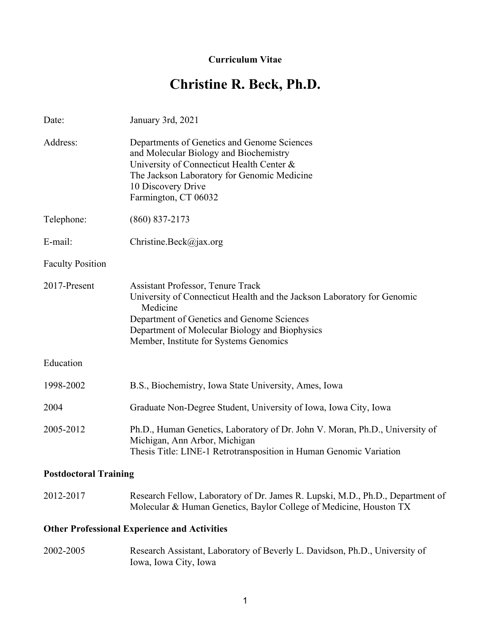### **Curriculum Vitae**

# **Christine R. Beck, Ph.D.**

| Date:                        | January 3rd, 2021                                                                                                                                                                                                                                                         |
|------------------------------|---------------------------------------------------------------------------------------------------------------------------------------------------------------------------------------------------------------------------------------------------------------------------|
| Address:                     | Departments of Genetics and Genome Sciences<br>and Molecular Biology and Biochemistry<br>University of Connecticut Health Center &<br>The Jackson Laboratory for Genomic Medicine<br>10 Discovery Drive<br>Farmington, CT 06032                                           |
| Telephone:                   | $(860)$ 837-2173                                                                                                                                                                                                                                                          |
| E-mail:                      | Christine.Beck@jax.org                                                                                                                                                                                                                                                    |
| <b>Faculty Position</b>      |                                                                                                                                                                                                                                                                           |
| 2017-Present                 | <b>Assistant Professor, Tenure Track</b><br>University of Connecticut Health and the Jackson Laboratory for Genomic<br>Medicine<br>Department of Genetics and Genome Sciences<br>Department of Molecular Biology and Biophysics<br>Member, Institute for Systems Genomics |
| Education                    |                                                                                                                                                                                                                                                                           |
| 1998-2002                    | B.S., Biochemistry, Iowa State University, Ames, Iowa                                                                                                                                                                                                                     |
| 2004                         | Graduate Non-Degree Student, University of Iowa, Iowa City, Iowa                                                                                                                                                                                                          |
| 2005-2012                    | Ph.D., Human Genetics, Laboratory of Dr. John V. Moran, Ph.D., University of<br>Michigan, Ann Arbor, Michigan<br>Thesis Title: LINE-1 Retrotransposition in Human Genomic Variation                                                                                       |
| <b>Postdoctoral Training</b> |                                                                                                                                                                                                                                                                           |
|                              |                                                                                                                                                                                                                                                                           |

| 2012-2017 | Research Fellow, Laboratory of Dr. James R. Lupski, M.D., Ph.D., Department of |
|-----------|--------------------------------------------------------------------------------|
|           | Molecular & Human Genetics, Baylor College of Medicine, Houston TX             |

### **Other Professional Experience and Activities**

2002-2005 Research Assistant, Laboratory of Beverly L. Davidson, Ph.D., University of Iowa, Iowa City, Iowa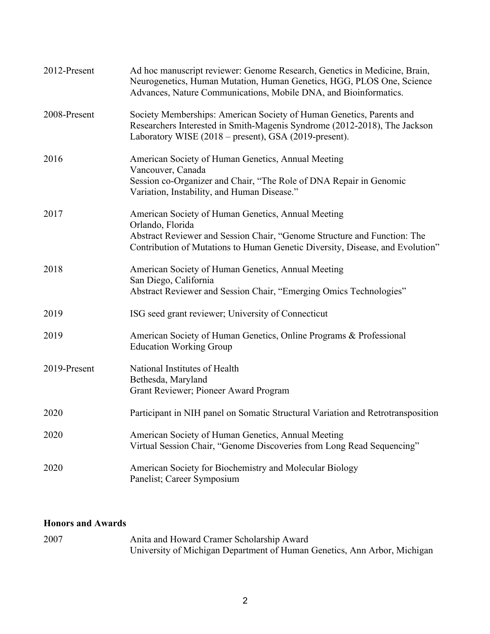| 2012-Present | Ad hoc manuscript reviewer: Genome Research, Genetics in Medicine, Brain,<br>Neurogenetics, Human Mutation, Human Genetics, HGG, PLOS One, Science<br>Advances, Nature Communications, Mobile DNA, and Bioinformatics.              |
|--------------|-------------------------------------------------------------------------------------------------------------------------------------------------------------------------------------------------------------------------------------|
| 2008-Present | Society Memberships: American Society of Human Genetics, Parents and<br>Researchers Interested in Smith-Magenis Syndrome (2012-2018), The Jackson<br>Laboratory WISE (2018 – present), GSA (2019-present).                          |
| 2016         | American Society of Human Genetics, Annual Meeting<br>Vancouver, Canada<br>Session co-Organizer and Chair, "The Role of DNA Repair in Genomic<br>Variation, Instability, and Human Disease."                                        |
| 2017         | American Society of Human Genetics, Annual Meeting<br>Orlando, Florida<br>Abstract Reviewer and Session Chair, "Genome Structure and Function: The<br>Contribution of Mutations to Human Genetic Diversity, Disease, and Evolution" |
| 2018         | American Society of Human Genetics, Annual Meeting<br>San Diego, California<br>Abstract Reviewer and Session Chair, "Emerging Omics Technologies"                                                                                   |
| 2019         | ISG seed grant reviewer; University of Connecticut                                                                                                                                                                                  |
| 2019         | American Society of Human Genetics, Online Programs & Professional<br><b>Education Working Group</b>                                                                                                                                |
| 2019-Present | National Institutes of Health<br>Bethesda, Maryland<br>Grant Reviewer; Pioneer Award Program                                                                                                                                        |
| 2020         | Participant in NIH panel on Somatic Structural Variation and Retrotransposition                                                                                                                                                     |
| 2020         | American Society of Human Genetics, Annual Meeting<br>Virtual Session Chair, "Genome Discoveries from Long Read Sequencing"                                                                                                         |
| 2020         | American Society for Biochemistry and Molecular Biology<br>Panelist; Career Symposium                                                                                                                                               |

## **Honors and Awards**

| 2007 | Anita and Howard Cramer Scholarship Award                                |
|------|--------------------------------------------------------------------------|
|      | University of Michigan Department of Human Genetics, Ann Arbor, Michigan |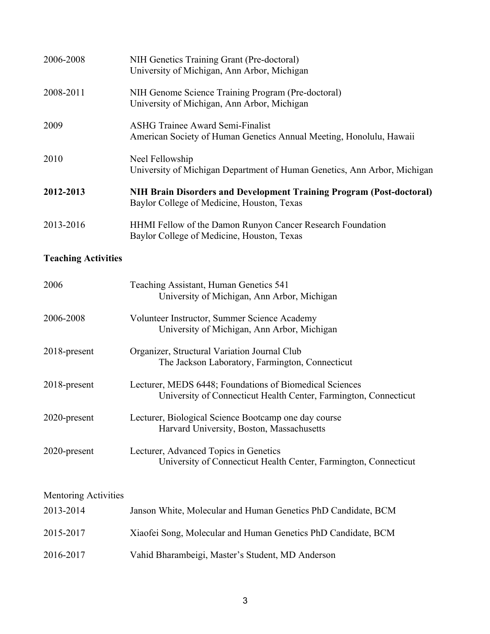| 2006-2008 | NIH Genetics Training Grant (Pre-doctoral)<br>University of Michigan, Ann Arbor, Michigan                                 |
|-----------|---------------------------------------------------------------------------------------------------------------------------|
| 2008-2011 | NIH Genome Science Training Program (Pre-doctoral)<br>University of Michigan, Ann Arbor, Michigan                         |
| 2009      | <b>ASHG Trainee Award Semi-Finalist</b><br>American Society of Human Genetics Annual Meeting, Honolulu, Hawaii            |
| 2010      | Neel Fellowship<br>University of Michigan Department of Human Genetics, Ann Arbor, Michigan                               |
| 2012-2013 | <b>NIH Brain Disorders and Development Training Program (Post-doctoral)</b><br>Baylor College of Medicine, Houston, Texas |
| 2013-2016 | HHMI Fellow of the Damon Runyon Cancer Research Foundation<br>Baylor College of Medicine, Houston, Texas                  |

# **Teaching Activities**

| 2006            | Teaching Assistant, Human Genetics 541<br>University of Michigan, Ann Arbor, Michigan                                       |
|-----------------|-----------------------------------------------------------------------------------------------------------------------------|
| 2006-2008       | Volunteer Instructor, Summer Science Academy<br>University of Michigan, Ann Arbor, Michigan                                 |
| $2018$ -present | Organizer, Structural Variation Journal Club<br>The Jackson Laboratory, Farmington, Connecticut                             |
| $2018$ -present | Lecturer, MEDS 6448; Foundations of Biomedical Sciences<br>University of Connecticut Health Center, Farmington, Connecticut |
| 2020-present    | Lecturer, Biological Science Bootcamp one day course<br>Harvard University, Boston, Massachusetts                           |
| 2020-present    | Lecturer, Advanced Topics in Genetics<br>University of Connecticut Health Center, Farmington, Connecticut                   |

#### Mentoring Activities

| 2013-2014 | Janson White, Molecular and Human Genetics PhD Candidate, BCM |
|-----------|---------------------------------------------------------------|
| 2015-2017 | Xiaofei Song, Molecular and Human Genetics PhD Candidate, BCM |
| 2016-2017 | Vahid Bharambeigi, Master's Student, MD Anderson              |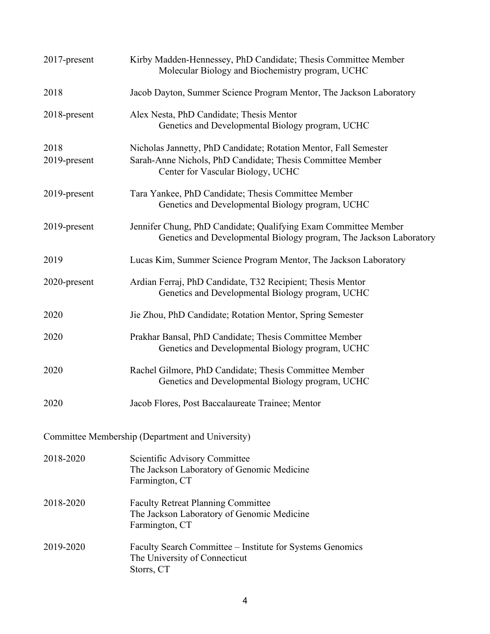| 2017-present                                     | Kirby Madden-Hennessey, PhD Candidate; Thesis Committee Member<br>Molecular Biology and Biochemistry program, UCHC                                                  |
|--------------------------------------------------|---------------------------------------------------------------------------------------------------------------------------------------------------------------------|
| 2018                                             | Jacob Dayton, Summer Science Program Mentor, The Jackson Laboratory                                                                                                 |
| 2018-present                                     | Alex Nesta, PhD Candidate; Thesis Mentor<br>Genetics and Developmental Biology program, UCHC                                                                        |
| 2018<br>2019-present                             | Nicholas Jannetty, PhD Candidate; Rotation Mentor, Fall Semester<br>Sarah-Anne Nichols, PhD Candidate; Thesis Committee Member<br>Center for Vascular Biology, UCHC |
| 2019-present                                     | Tara Yankee, PhD Candidate; Thesis Committee Member<br>Genetics and Developmental Biology program, UCHC                                                             |
| 2019-present                                     | Jennifer Chung, PhD Candidate; Qualifying Exam Committee Member<br>Genetics and Developmental Biology program, The Jackson Laboratory                               |
| 2019                                             | Lucas Kim, Summer Science Program Mentor, The Jackson Laboratory                                                                                                    |
| 2020-present                                     | Ardian Ferraj, PhD Candidate, T32 Recipient; Thesis Mentor<br>Genetics and Developmental Biology program, UCHC                                                      |
| 2020                                             | Jie Zhou, PhD Candidate; Rotation Mentor, Spring Semester                                                                                                           |
| 2020                                             | Prakhar Bansal, PhD Candidate; Thesis Committee Member<br>Genetics and Developmental Biology program, UCHC                                                          |
| 2020                                             | Rachel Gilmore, PhD Candidate; Thesis Committee Member<br>Genetics and Developmental Biology program, UCHC                                                          |
| 2020                                             | Jacob Flores, Post Baccalaureate Trainee; Mentor                                                                                                                    |
| Committee Membership (Department and University) |                                                                                                                                                                     |
| 2018-2020                                        | Scientific Advisory Committee<br>The Jackson Laboratory of Genomic Medicine<br>Farmington, CT                                                                       |
| 2018-2020                                        | <b>Faculty Retreat Planning Committee</b><br>The Jackson Laboratory of Genomic Medicine<br>Farmington, CT                                                           |
| 2019-2020                                        | Faculty Search Committee – Institute for Systems Genomics<br>The University of Connecticut<br>Storrs, CT                                                            |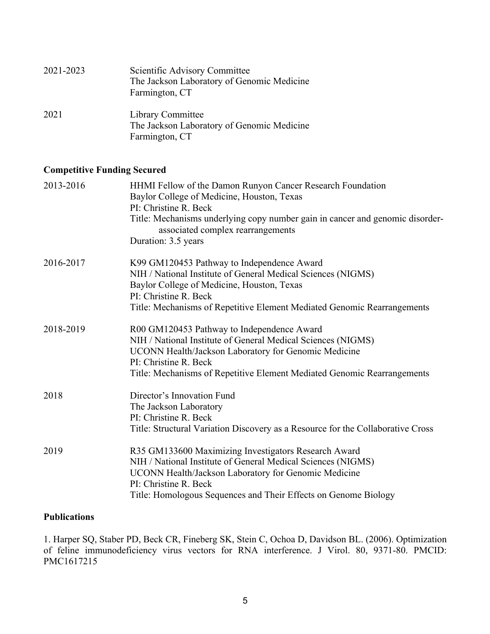| 2021-2023 | Scientific Advisory Committee<br>The Jackson Laboratory of Genomic Medicine<br>Farmington, CT |
|-----------|-----------------------------------------------------------------------------------------------|
| 2021      | Library Committee<br>The Jackson Laboratory of Genomic Medicine<br>Farmington, CT             |

### **Competitive Funding Secured**

| 2013-2016 | HHMI Fellow of the Damon Runyon Cancer Research Foundation<br>Baylor College of Medicine, Houston, Texas<br>PI: Christine R. Beck<br>Title: Mechanisms underlying copy number gain in cancer and genomic disorder-<br>associated complex rearrangements                  |
|-----------|--------------------------------------------------------------------------------------------------------------------------------------------------------------------------------------------------------------------------------------------------------------------------|
|           | Duration: 3.5 years                                                                                                                                                                                                                                                      |
| 2016-2017 | K99 GM120453 Pathway to Independence Award<br>NIH / National Institute of General Medical Sciences (NIGMS)<br>Baylor College of Medicine, Houston, Texas<br>PI: Christine R. Beck<br>Title: Mechanisms of Repetitive Element Mediated Genomic Rearrangements             |
|           |                                                                                                                                                                                                                                                                          |
| 2018-2019 | R00 GM120453 Pathway to Independence Award<br>NIH / National Institute of General Medical Sciences (NIGMS)<br>UCONN Health/Jackson Laboratory for Genomic Medicine<br>PI: Christine R. Beck<br>Title: Mechanisms of Repetitive Element Mediated Genomic Rearrangements   |
| 2018      | Director's Innovation Fund<br>The Jackson Laboratory<br>PI: Christine R. Beck<br>Title: Structural Variation Discovery as a Resource for the Collaborative Cross                                                                                                         |
| 2019      | R35 GM133600 Maximizing Investigators Research Award<br>NIH / National Institute of General Medical Sciences (NIGMS)<br>UCONN Health/Jackson Laboratory for Genomic Medicine<br>PI: Christine R. Beck<br>Title: Homologous Sequences and Their Effects on Genome Biology |

### **Publications**

1. Harper SQ, Staber PD, Beck CR, Fineberg SK, Stein C, Ochoa D, Davidson BL. (2006). Optimization of feline immunodeficiency virus vectors for RNA interference. J Virol. 80, 9371-80. PMCID: PMC1617215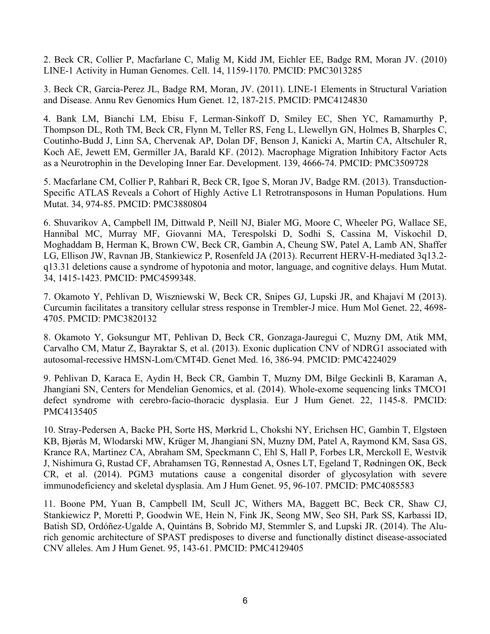2. Beck CR, Collier P, Macfarlane C, Malig M, Kidd JM, Eichler EE, Badge RM, Moran JV. (2010) LINE-1 Activity in Human Genomes. Cell. 14, 1159-1170. PMCID: PMC3013285

3. Beck CR, Garcia-Perez JL, Badge RM, Moran, JV. (2011). LINE-1 Elements in Structural Variation and Disease. Annu Rev Genomics Hum Genet. 12, 187-215. PMCID: PMC4124830

4. Bank LM, Bianchi LM, Ebisu F, Lerman-Sinkoff D, Smiley EC, Shen YC, Ramamurthy P, Thompson DL, Roth TM, Beck CR, Flynn M, Teller RS, Feng L, Llewellyn GN, Holmes B, Sharples C, Coutinho-Budd J, Linn SA, Chervenak AP, Dolan DF, Benson J, Kanicki A, Martin CA, Altschuler R, Koch AE, Jewett EM, Germiller JA, Barald KF. (2012). Macrophage Migration Inhibitory Factor Acts as a Neurotrophin in the Developing Inner Ear. Development. 139, 4666-74. PMCID: PMC3509728

5. Macfarlane CM, Collier P, Rahbari R, Beck CR, Igoe S, Moran JV, Badge RM. (2013). Transduction-Specific ATLAS Reveals a Cohort of Highly Active L1 Retrotransposons in Human Populations. Hum Mutat. 34, 974-85. PMCID: PMC3880804

6. Shuvarikov A, Campbell IM, Dittwald P, Neill NJ, Bialer MG, Moore C, Wheeler PG, Wallace SE, Hannibal MC, Murray MF, Giovanni MA, Terespolski D, Sodhi S, Cassina M, Viskochil D, Moghaddam B, Herman K, Brown CW, Beck CR, Gambin A, Cheung SW, Patel A, Lamb AN, Shaffer LG, Ellison JW, Ravnan JB, Stankiewicz P, Rosenfeld JA (2013). Recurrent HERV-H-mediated 3q13.2 q13.31 deletions cause a syndrome of hypotonia and motor, language, and cognitive delays. Hum Mutat. 34, 1415-1423. PMCID: PMC4599348.

7. Okamoto Y, Pehlivan D, Wiszniewski W, Beck CR, Snipes GJ, Lupski JR, and Khajavi M (2013). Curcumin facilitates a transitory cellular stress response in Trembler-J mice. Hum Mol Genet. 22, 4698- 4705. PMCID: PMC3820132

8. Okamoto Y, Goksungur MT, Pehlivan D, Beck CR, Gonzaga-Jauregui C, Muzny DM, Atik MM, Carvalho CM, Matur Z, Bayraktar S, et al. (2013). Exonic duplication CNV of NDRG1 associated with autosomal-recessive HMSN-Lom/CMT4D. Genet Med. 16, 386-94. PMCID: PMC4224029

9. Pehlivan D, Karaca E, Aydin H, Beck CR, Gambin T, Muzny DM, Bilge Geckinli B, Karaman A, Jhangiani SN, Centers for Mendelian Genomics, et al. (2014). Whole-exome sequencing links TMCO1 defect syndrome with cerebro-facio-thoracic dysplasia. Eur J Hum Genet. 22, 1145-8. PMCID: PMC4135405

10. Stray-Pedersen A, Backe PH, Sorte HS, Mørkrid L, Chokshi NY, Erichsen HC, Gambin T, Elgstøen KB, Bjørås M, Wlodarski MW, Krüger M, Jhangiani SN, Muzny DM, Patel A, Raymond KM, Sasa GS, Krance RA, Martinez CA, Abraham SM, Speckmann C, Ehl S, Hall P, Forbes LR, Merckoll E, Westvik J, Nishimura G, Rustad CF, Abrahamsen TG, Rønnestad A, Osnes LT, Egeland T, Rødningen OK, Beck CR, et al. (2014). PGM3 mutations cause a congenital disorder of glycosylation with severe immunodeficiency and skeletal dysplasia. Am J Hum Genet. 95, 96-107. PMCID: PMC4085583

11. Boone PM, Yuan B, Campbell IM, Scull JC, Withers MA, Baggett BC, Beck CR, Shaw CJ, Stankiewicz P, Moretti P, Goodwin WE, Hein N, Fink JK, Seong MW, Seo SH, Park SS, Karbassi ID, Batish SD, Ordóñez-Ugalde A, Quintáns B, Sobrido MJ, Stemmler S, and Lupski JR. (2014). The Alurich genomic architecture of SPAST predisposes to diverse and functionally distinct disease-associated CNV alleles. Am J Hum Genet. 95, 143-61. PMCID: PMC4129405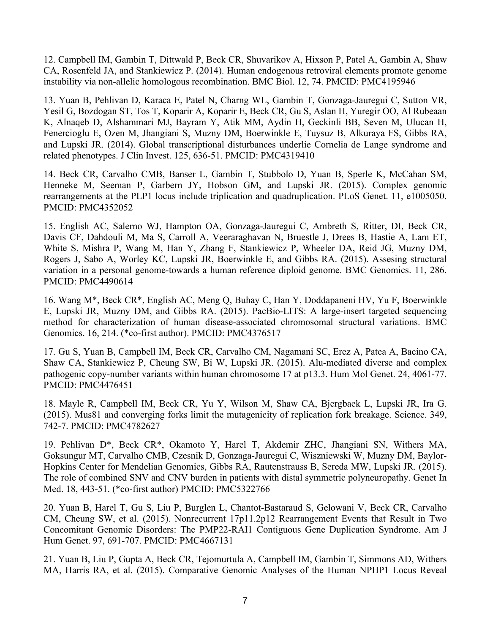12. Campbell IM, Gambin T, Dittwald P, Beck CR, Shuvarikov A, Hixson P, Patel A, Gambin A, Shaw CA, Rosenfeld JA, and Stankiewicz P. (2014). Human endogenous retroviral elements promote genome instability via non-allelic homologous recombination. BMC Biol. 12, 74. PMCID: PMC4195946

13. Yuan B, Pehlivan D, Karaca E, Patel N, Charng WL, Gambin T, Gonzaga-Jauregui C, Sutton VR, Yesil G, Bozdogan ST, Tos T, Koparir A, Koparir E, Beck CR, Gu S, Aslan H, Yuregir OO, Al Rubeaan K, Alnaqeb D, Alshammari MJ, Bayram Y, Atik MM, Aydin H, Geckinli BB, Seven M, Ulucan H, Fenercioglu E, Ozen M, Jhangiani S, Muzny DM, Boerwinkle E, Tuysuz B, Alkuraya FS, Gibbs RA, and Lupski JR. (2014). Global transcriptional disturbances underlie Cornelia de Lange syndrome and related phenotypes. J Clin Invest. 125, 636-51. PMCID: PMC4319410

14. Beck CR, Carvalho CMB, Banser L, Gambin T, Stubbolo D, Yuan B, Sperle K, McCahan SM, Henneke M, Seeman P, Garbern JY, Hobson GM, and Lupski JR. (2015). Complex genomic rearrangements at the PLP1 locus include triplication and quadruplication. PLoS Genet. 11, e1005050. PMCID: PMC4352052

15. English AC, Salerno WJ, Hampton OA, Gonzaga-Jauregui C, Ambreth S, Ritter, DI, Beck CR, Davis CF, Dahdouli M, Ma S, Carroll A, Veeraraghavan N, Bruestle J, Drees B, Hastie A, Lam ET, White S, Mishra P, Wang M, Han Y, Zhang F, Stankiewicz P, Wheeler DA, Reid JG, Muzny DM, Rogers J, Sabo A, Worley KC, Lupski JR, Boerwinkle E, and Gibbs RA. (2015). Assesing structural variation in a personal genome-towards a human reference diploid genome. BMC Genomics. 11, 286. PMCID: PMC4490614

16. Wang M\*, Beck CR\*, English AC, Meng Q, Buhay C, Han Y, Doddapaneni HV, Yu F, Boerwinkle E, Lupski JR, Muzny DM, and Gibbs RA. (2015). PacBio-LITS: A large-insert targeted sequencing method for characterization of human disease-associated chromosomal structural variations. BMC Genomics. 16, 214. (\*co-first author). PMCID: PMC4376517

17. Gu S, Yuan B, Campbell IM, Beck CR, Carvalho CM, Nagamani SC, Erez A, Patea A, Bacino CA, Shaw CA, Stankiewicz P, Cheung SW, Bi W, Lupski JR. (2015). Alu-mediated diverse and complex pathogenic copy-number variants within human chromosome 17 at p13.3. Hum Mol Genet. 24, 4061-77. PMCID: PMC4476451

18. Mayle R, Campbell IM, Beck CR, Yu Y, Wilson M, Shaw CA, Bjergbaek L, Lupski JR, Ira G. (2015). Mus81 and converging forks limit the mutagenicity of replication fork breakage. Science. 349, 742-7. PMCID: PMC4782627

19. Pehlivan D\*, Beck CR\*, Okamoto Y, Harel T, Akdemir ZHC, Jhangiani SN, Withers MA, Goksungur MT, Carvalho CMB, Czesnik D, Gonzaga-Jauregui C, Wiszniewski W, Muzny DM, Baylor-Hopkins Center for Mendelian Genomics, Gibbs RA, Rautenstrauss B, Sereda MW, Lupski JR. (2015). The role of combined SNV and CNV burden in patients with distal symmetric polyneuropathy. Genet In Med. 18, 443-51. (\*co-first author) PMCID: PMC5322766

20. Yuan B, Harel T, Gu S, Liu P, Burglen L, Chantot-Bastaraud S, Gelowani V, Beck CR, Carvalho CM, Cheung SW, et al. (2015). Nonrecurrent 17p11.2p12 Rearrangement Events that Result in Two Concomitant Genomic Disorders: The PMP22-RAI1 Contiguous Gene Duplication Syndrome. Am J Hum Genet. 97, 691-707. PMCID: PMC4667131

21. Yuan B, Liu P, Gupta A, Beck CR, Tejomurtula A, Campbell IM, Gambin T, Simmons AD, Withers MA, Harris RA, et al. (2015). Comparative Genomic Analyses of the Human NPHP1 Locus Reveal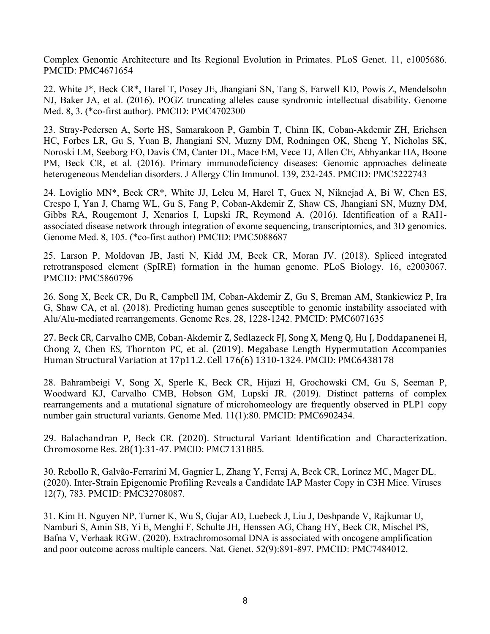Complex Genomic Architecture and Its Regional Evolution in Primates. PLoS Genet. 11, e1005686. PMCID: PMC4671654

22. White J\*, Beck CR\*, Harel T, Posey JE, Jhangiani SN, Tang S, Farwell KD, Powis Z, Mendelsohn NJ, Baker JA, et al. (2016). POGZ truncating alleles cause syndromic intellectual disability. Genome Med. 8, 3. (\*co-first author). PMCID: PMC4702300

23. Stray-Pedersen A, Sorte HS, Samarakoon P, Gambin T, Chinn IK, Coban-Akdemir ZH, Erichsen HC, Forbes LR, Gu S, Yuan B, Jhangiani SN, Muzny DM, Rodningen OK, Sheng Y, Nicholas SK, Noroski LM, Seeborg FO, Davis CM, Canter DL, Mace EM, Vece TJ, Allen CE, Abhyankar HA, Boone PM, Beck CR, et al. (2016). Primary immunodeficiency diseases: Genomic approaches delineate heterogeneous Mendelian disorders. J Allergy Clin Immunol. 139, 232-245. PMCID: PMC5222743

24. Loviglio MN\*, Beck CR\*, White JJ, Leleu M, Harel T, Guex N, Niknejad A, Bi W, Chen ES, Crespo I, Yan J, Charng WL, Gu S, Fang P, Coban-Akdemir Z, Shaw CS, Jhangiani SN, Muzny DM, Gibbs RA, Rougemont J, Xenarios I, Lupski JR, Reymond A. (2016). Identification of a RAI1 associated disease network through integration of exome sequencing, transcriptomics, and 3D genomics. Genome Med. 8, 105. (\*co-first author) PMCID: PMC5088687

25. Larson P, Moldovan JB, Jasti N, Kidd JM, Beck CR, Moran JV. (2018). Spliced integrated retrotransposed element (SpIRE) formation in the human genome. PLoS Biology. 16, e2003067. PMCID: PMC5860796

26. Song X, Beck CR, Du R, Campbell IM, Coban-Akdemir Z, Gu S, Breman AM, Stankiewicz P, Ira G, Shaw CA, et al. (2018). Predicting human genes susceptible to genomic instability associated with Alu/Alu-mediated rearrangements. Genome Res. 28, 1228-1242. PMCID: PMC6071635

27. Beck CR, Carvalho CMB, Coban-Akdemir Z, Sedlazeck FJ, Song X, Meng Q, Hu J, Doddapanenei H, Chong Z, Chen ES, Thornton PC, et al. (2019). Megabase Length Hypermutation Accompanies Human Structural Variation at 17p11.2. Cell 176(6) 1310-1324. PMCID: PMC6438178

28. Bahrambeigi V, Song X, Sperle K, Beck CR, Hijazi H, Grochowski CM, Gu S, Seeman P, Woodward KJ, Carvalho CMB, Hobson GM, Lupski JR. (2019). Distinct patterns of complex rearrangements and a mutational signature of microhomeology are frequently observed in PLP1 copy number gain structural variants. Genome Med. 11(1):80. PMCID: PMC6902434.

29. Balachandran P, Beck CR. (2020). Structural Variant Identification and Characterization. Chromosome Res. 28(1):31-47. PMCID: PMC7131885.

30. Rebollo R, Galvão-Ferrarini M, Gagnier L, Zhang Y, Ferraj A, Beck CR, Lorincz MC, Mager DL. (2020). Inter-Strain Epigenomic Profiling Reveals a Candidate IAP Master Copy in C3H Mice. Viruses 12(7), 783. PMCID: PMC32708087.

31. Kim H, Nguyen NP, Turner K, Wu S, Gujar AD, Luebeck J, Liu J, Deshpande V, Rajkumar U, Namburi S, Amin SB, Yi E, Menghi F, Schulte JH, Henssen AG, Chang HY, Beck CR, Mischel PS, Bafna V, Verhaak RGW. (2020). Extrachromosomal DNA is associated with oncogene amplification and poor outcome across multiple cancers. Nat. Genet. 52(9):891-897. PMCID: PMC7484012.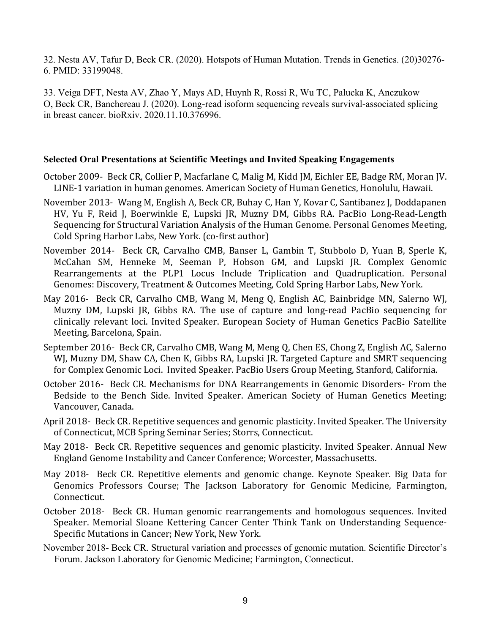32. Nesta AV, Tafur D, Beck CR. (2020). Hotspots of Human Mutation. Trends in Genetics. (20)30276- 6. PMID: 33199048.

33. Veiga DFT, Nesta AV, Zhao Y, Mays AD, Huynh R, Rossi R, Wu TC, Palucka K, Anczukow O, Beck CR, Banchereau J. (2020). Long-read isoform sequencing reveals survival-associated splicing in breast cancer. bioRxiv. 2020.11.10.376996.

### **Selected Oral Presentations at Scientific Meetings and Invited Speaking Engagements**

- October 2009- Beck CR, Collier P, Macfarlane C, Malig M, Kidd JM, Eichler EE, Badge RM, Moran JV. LINE-1 variation in human genomes. American Society of Human Genetics, Honolulu, Hawaii.
- November 2013- Wang M, English A, Beck CR, Buhay C, Han Y, Kovar C, Santibanez J, Doddapanen HV, Yu F, Reid J, Boerwinkle E, Lupski JR, Muzny DM, Gibbs RA. PacBio Long-Read-Length Sequencing for Structural Variation Analysis of the Human Genome. Personal Genomes Meeting, Cold Spring Harbor Labs, New York. (co-first author)
- November 2014- Beck CR, Carvalho CMB, Banser L, Gambin T, Stubbolo D, Yuan B, Sperle K, McCahan SM, Henneke M, Seeman P, Hobson GM, and Lupski JR. Complex Genomic Rearrangements at the PLP1 Locus Include Triplication and Quadruplication. Personal Genomes: Discovery, Treatment & Outcomes Meeting, Cold Spring Harbor Labs, New York.
- May 2016- Beck CR, Carvalho CMB, Wang M, Meng Q, English AC, Bainbridge MN, Salerno WJ, Muzny DM, Lupski JR, Gibbs RA. The use of capture and long-read PacBio sequencing for clinically relevant loci. Invited Speaker. European Society of Human Genetics PacBio Satellite Meeting, Barcelona, Spain.
- September 2016- Beck CR, Carvalho CMB, Wang M, Meng Q, Chen ES, Chong Z, English AC, Salerno WJ, Muzny DM, Shaw CA, Chen K, Gibbs RA, Lupski JR. Targeted Capture and SMRT sequencing for Complex Genomic Loci. Invited Speaker. PacBio Users Group Meeting, Stanford, California.
- October 2016- Beck CR. Mechanisms for DNA Rearrangements in Genomic Disorders- From the Bedside to the Bench Side. Invited Speaker. American Society of Human Genetics Meeting; Vancouver, Canada.
- April 2018- Beck CR. Repetitive sequences and genomic plasticity. Invited Speaker. The University of Connecticut, MCB Spring Seminar Series; Storrs, Connecticut.
- May 2018- Beck CR. Repetitive sequences and genomic plasticity. Invited Speaker. Annual New England Genome Instability and Cancer Conference; Worcester, Massachusetts.
- May 2018- Beck CR. Repetitive elements and genomic change. Keynote Speaker. Big Data for Genomics Professors Course; The Jackson Laboratory for Genomic Medicine, Farmington, Connecticut.
- October 2018- Beck CR. Human genomic rearrangements and homologous sequences. Invited Speaker. Memorial Sloane Kettering Cancer Center Think Tank on Understanding Sequence-Specific Mutations in Cancer; New York, New York.
- November 2018- Beck CR. Structural variation and processes of genomic mutation. Scientific Director's Forum. Jackson Laboratory for Genomic Medicine; Farmington, Connecticut.